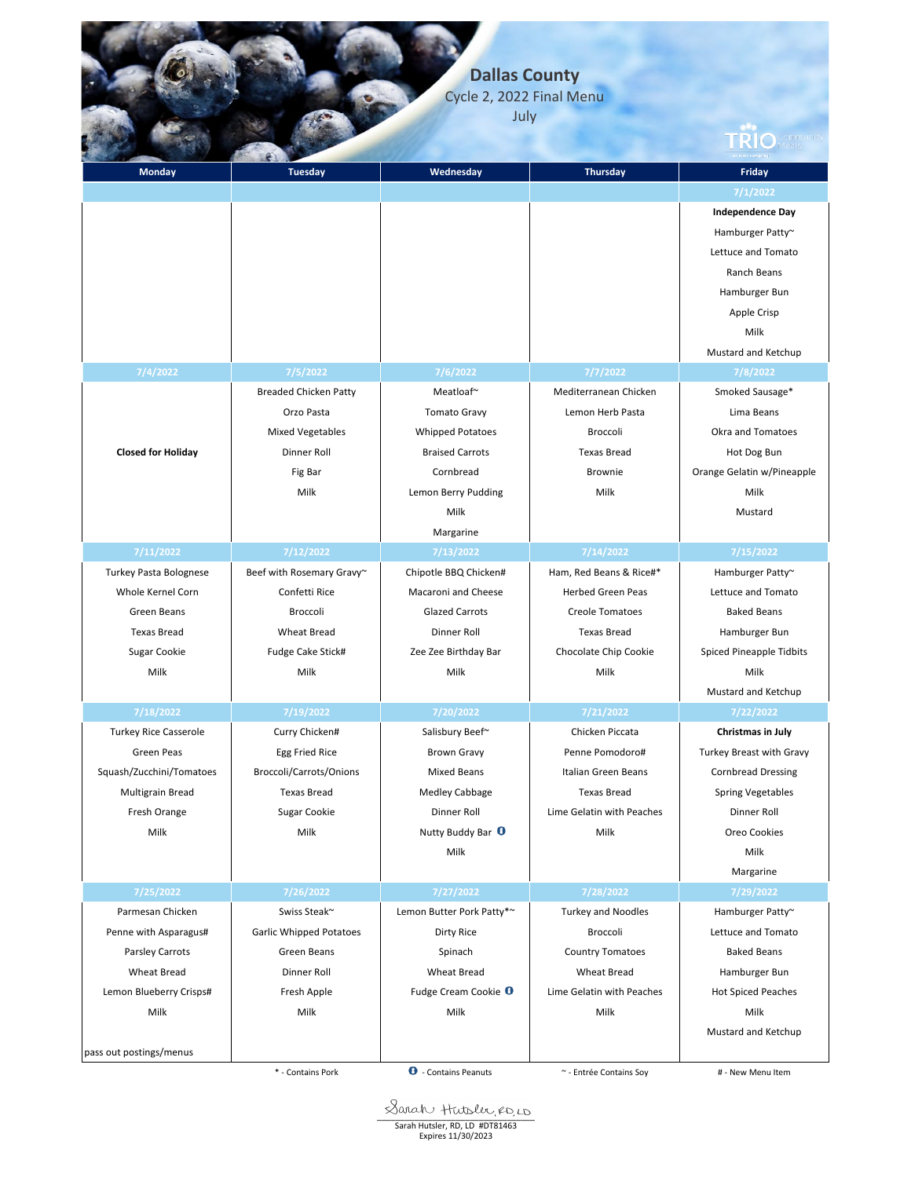**Dallas County**

Cycle 2, 2022 Final Menu July

| <b>Monday</b>                | <b>Tuesday</b>                 | Wednesday                       | Thursday                   | Friday                                 |
|------------------------------|--------------------------------|---------------------------------|----------------------------|----------------------------------------|
|                              |                                |                                 |                            | 7/1/2022                               |
|                              |                                |                                 |                            | <b>Independence Day</b>                |
|                              |                                |                                 |                            |                                        |
|                              |                                |                                 |                            | Hamburger Patty~<br>Lettuce and Tomato |
|                              |                                |                                 |                            |                                        |
|                              |                                |                                 |                            | Ranch Beans                            |
|                              |                                |                                 |                            | Hamburger Bun                          |
|                              |                                |                                 |                            | Apple Crisp                            |
|                              |                                |                                 |                            | Milk                                   |
|                              |                                |                                 |                            | Mustard and Ketchup                    |
| 7/4/2022                     | 7/5/2022                       | 7/6/2022                        | 7/7/2022                   | 7/8/2022                               |
|                              | <b>Breaded Chicken Patty</b>   | Meatloaf~                       | Mediterranean Chicken      | Smoked Sausage*                        |
|                              | Orzo Pasta                     | <b>Tomato Gravy</b>             | Lemon Herb Pasta           | Lima Beans                             |
|                              | <b>Mixed Vegetables</b>        | <b>Whipped Potatoes</b>         | <b>Broccoli</b>            | Okra and Tomatoes                      |
| <b>Closed for Holiday</b>    | Dinner Roll                    | <b>Braised Carrots</b>          | <b>Texas Bread</b>         | Hot Dog Bun                            |
|                              | Fig Bar                        | Cornbread                       | <b>Brownie</b>             | Orange Gelatin w/Pineapple             |
|                              | Milk                           | Lemon Berry Pudding             | Milk                       | Milk                                   |
|                              |                                | Milk                            |                            | Mustard                                |
|                              |                                | Margarine                       |                            |                                        |
| 7/11/2022                    | 7/12/2022                      | 7/13/2022                       | 7/14/2022                  | 7/15/2022                              |
| Turkey Pasta Bolognese       | Beef with Rosemary Gravy~      | Chipotle BBQ Chicken#           | Ham, Red Beans & Rice#*    | Hamburger Patty~                       |
| Whole Kernel Corn            | Confetti Rice                  | Macaroni and Cheese             | <b>Herbed Green Peas</b>   | Lettuce and Tomato                     |
| Green Beans                  | Broccoli                       | <b>Glazed Carrots</b>           | <b>Creole Tomatoes</b>     | <b>Baked Beans</b>                     |
| <b>Texas Bread</b>           | <b>Wheat Bread</b>             | Dinner Roll                     | <b>Texas Bread</b>         | Hamburger Bun                          |
| <b>Sugar Cookie</b>          | Fudge Cake Stick#              | Zee Zee Birthday Bar            | Chocolate Chip Cookie      | <b>Spiced Pineapple Tidbits</b>        |
| Milk                         | Milk                           | Milk                            | Milk                       | Milk                                   |
|                              |                                |                                 |                            | Mustard and Ketchup                    |
| 7/18/2022                    | 7/19/2022                      | 7/20/2022                       | 7/21/2022                  | 7/22/2022                              |
| <b>Turkey Rice Casserole</b> | Curry Chicken#                 | Salisbury Beef~                 | Chicken Piccata            | Christmas in July                      |
| Green Peas                   | Egg Fried Rice                 | <b>Brown Gravy</b>              | Penne Pomodoro#            | Turkey Breast with Gravy               |
| Squash/Zucchini/Tomatoes     | Broccoli/Carrots/Onions        | <b>Mixed Beans</b>              | <b>Italian Green Beans</b> | <b>Cornbread Dressing</b>              |
| <b>Multigrain Bread</b>      | <b>Texas Bread</b>             | <b>Medley Cabbage</b>           | <b>Texas Bread</b>         | <b>Spring Vegetables</b>               |
| Fresh Orange                 | Sugar Cookie                   | Dinner Roll                     | Lime Gelatin with Peaches  | Dinner Roll                            |
| Milk                         | Milk                           | Nutty Buddy Bar <sup>O</sup>    | Milk                       | Oreo Cookies                           |
|                              |                                | Milk                            |                            | Milk                                   |
|                              |                                |                                 |                            | Margarine                              |
| 7/25/2022                    | 7/26/2022                      | 7/27/2022                       | 7/28/2022                  | 7/29/2022                              |
| Parmesan Chicken             | Swiss Steak <sup>~</sup>       | Lemon Butter Pork Patty*~       | <b>Turkey and Noodles</b>  | Hamburger Patty~                       |
| Penne with Asparagus#        | <b>Garlic Whipped Potatoes</b> | Dirty Rice                      | Broccoli                   | Lettuce and Tomato                     |
| Parsley Carrots              | Green Beans                    | Spinach                         | <b>Country Tomatoes</b>    | <b>Baked Beans</b>                     |
| <b>Wheat Bread</b>           | Dinner Roll                    | <b>Wheat Bread</b>              | <b>Wheat Bread</b>         | Hamburger Bun                          |
| Lemon Blueberry Crisps#      | Fresh Apple                    | Fudge Cream Cookie <sup>O</sup> | Lime Gelatin with Peaches  | <b>Hot Spiced Peaches</b>              |
| Milk                         | Milk                           | Milk                            | Milk                       | Milk                                   |
|                              |                                |                                 |                            | Mustard and Ketchup                    |
| pass out postings/menus      |                                |                                 |                            |                                        |
|                              | * - Contains Pork              | <b>O</b> - Contains Peanuts     | ~ - Entrée Contains Soy    | # - New Menu Item                      |

Sarah Hutsler, RD, LD #DT81463<br>Expires 11/30/2023